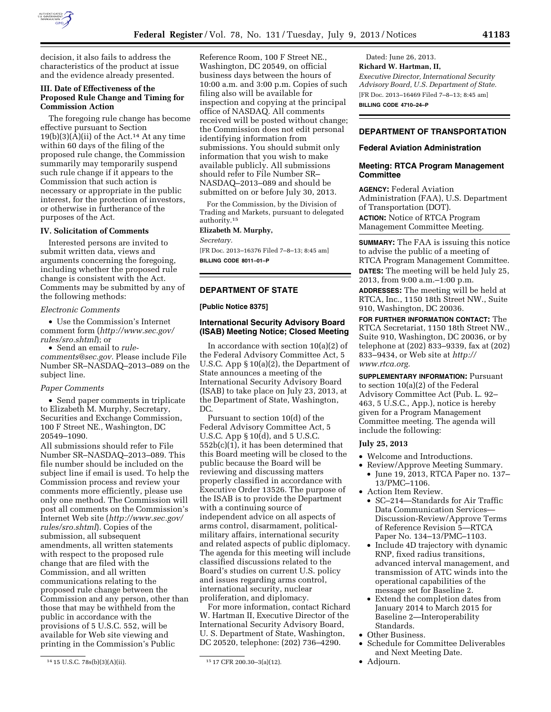

decision, it also fails to address the characteristics of the product at issue and the evidence already presented.

## **III. Date of Effectiveness of the Proposed Rule Change and Timing for Commission Action**

The foregoing rule change has become effective pursuant to Section  $19(b)(3)(A)(ii)$  of the Act.<sup>14</sup> At any time within 60 days of the filing of the proposed rule change, the Commission summarily may temporarily suspend such rule change if it appears to the Commission that such action is necessary or appropriate in the public interest, for the protection of investors, or otherwise in furtherance of the purposes of the Act.

## **IV. Solicitation of Comments**

Interested persons are invited to submit written data, views and arguments concerning the foregoing, including whether the proposed rule change is consistent with the Act. Comments may be submitted by any of the following methods:

# *Electronic Comments*

• Use the Commission's Internet comment form (*[http://www.sec.gov/](http://www.sec.gov/rules/sro.shtml)  [rules/sro.shtml](http://www.sec.gov/rules/sro.shtml)*); or

• Send an email to *[rule](mailto:rule-comments@sec.gov)[comments@sec.gov.](mailto:rule-comments@sec.gov)* Please include File Number SR–NASDAQ–2013–089 on the subject line.

#### *Paper Comments*

• Send paper comments in triplicate to Elizabeth M. Murphy, Secretary, Securities and Exchange Commission, 100 F Street NE., Washington, DC 20549–1090.

All submissions should refer to File Number SR–NASDAQ–2013–089. This file number should be included on the subject line if email is used. To help the Commission process and review your comments more efficiently, please use only one method. The Commission will post all comments on the Commission's Internet Web site (*[http://www.sec.gov/](http://www.sec.gov/rules/sro.shtml)  [rules/sro.shtml](http://www.sec.gov/rules/sro.shtml)*). Copies of the submission, all subsequent amendments, all written statements with respect to the proposed rule change that are filed with the Commission, and all written communications relating to the proposed rule change between the Commission and any person, other than those that may be withheld from the public in accordance with the provisions of 5 U.S.C. 552, will be available for Web site viewing and printing in the Commission's Public

Reference Room, 100 F Street NE., Washington, DC 20549, on official business days between the hours of 10:00 a.m. and 3:00 p.m. Copies of such filing also will be available for inspection and copying at the principal office of NASDAQ. All comments received will be posted without change; the Commission does not edit personal identifying information from submissions. You should submit only information that you wish to make available publicly. All submissions should refer to File Number SR– NASDAQ–2013–089 and should be submitted on or before July 30, 2013.

For the Commission, by the Division of Trading and Markets, pursuant to delegated authority.15

#### **Elizabeth M. Murphy,**

*Secretary.* 

[FR Doc. 2013–16376 Filed 7–8–13; 8:45 am] **BILLING CODE 8011–01–P** 

## **DEPARTMENT OF STATE**

### **[Public Notice 8375]**

## **International Security Advisory Board (ISAB) Meeting Notice; Closed Meeting**

In accordance with section  $10(a)(2)$  of the Federal Advisory Committee Act, 5 U.S.C. App § 10(a)(2), the Department of State announces a meeting of the International Security Advisory Board (ISAB) to take place on July 23, 2013, at the Department of State, Washington, DC.

Pursuant to section 10(d) of the Federal Advisory Committee Act, 5 U.S.C. App § 10(d), and 5 U.S.C. 552b(c)(1), it has been determined that this Board meeting will be closed to the public because the Board will be reviewing and discussing matters properly classified in accordance with Executive Order 13526. The purpose of the ISAB is to provide the Department with a continuing source of independent advice on all aspects of arms control, disarmament, politicalmilitary affairs, international security and related aspects of public diplomacy. The agenda for this meeting will include classified discussions related to the Board's studies on current U.S. policy and issues regarding arms control, international security, nuclear proliferation, and diplomacy.

For more information, contact Richard W. Hartman II, Executive Director of the International Security Advisory Board, U. S. Department of State, Washington, DC 20520, telephone: (202) 736–4290.

Dated: June 26, 2013. **Richard W. Hartman, II,**  *Executive Director, International Security Advisory Board, U.S. Department of State.*  [FR Doc. 2013–16469 Filed 7–8–13; 8:45 am] **BILLING CODE 4710–24–P** 

# **DEPARTMENT OF TRANSPORTATION**

## **Federal Aviation Administration**

## **Meeting: RTCA Program Management Committee**

**AGENCY:** Federal Aviation Administration (FAA), U.S. Department of Transportation (DOT). **ACTION:** Notice of RTCA Program Management Committee Meeting.

**SUMMARY:** The FAA is issuing this notice to advise the public of a meeting of RTCA Program Management Committee. **DATES:** The meeting will be held July 25, 2013, from 9:00 a.m.–1:00 p.m.

**ADDRESSES:** The meeting will be held at RTCA, Inc., 1150 18th Street NW., Suite 910, Washington, DC 20036.

**FOR FURTHER INFORMATION CONTACT:** The RTCA Secretariat, 1150 18th Street NW., Suite 910, Washington, DC 20036, or by telephone at (202) 833–9339, fax at (202) 833–9434, or Web site at *[http://](http://www.rtca.org) [www.rtca.org.](http://www.rtca.org)* 

**SUPPLEMENTARY INFORMATION: Pursuant** to section 10(a)(2) of the Federal Advisory Committee Act (Pub. L. 92– 463, 5 U.S.C., App.), notice is hereby given for a Program Management Committee meeting. The agenda will include the following:

## **July 25, 2013**

- Welcome and Introductions.
- Review/Approve Meeting Summary. • June 19, 2013, RTCA Paper no. 137– 13/PMC–1106.
- Action Item Review.
	- SC–214—Standards for Air Traffic Data Communication Services— Discussion-Review/Approve Terms of Reference Revision 5—RTCA Paper No. 134–13/PMC–1103.
	- Include 4D trajectory with dynamic RNP, fixed radius transitions, advanced interval management, and transmission of ATC winds into the operational capabilities of the message set for Baseline 2.
	- Extend the completion dates from January 2014 to March 2015 for Baseline 2—Interoperability Standards.
- Other Business.
- Schedule for Committee Deliverables and Next Meeting Date.
- Adjourn.

<sup>14</sup> 15 U.S.C. 78s(b)(3)(A)(ii). 15 17 CFR 200.30–3(a)(12).